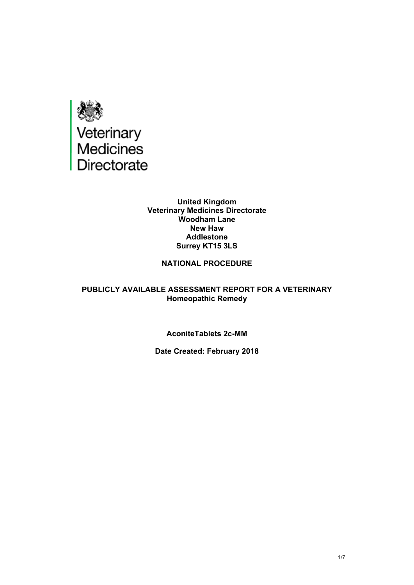

#### **United Kingdom Veterinary Medicines Directorate Woodham Lane New Haw Addlestone Surrey KT15 3LS**

## **NATIONAL PROCEDURE**

#### **PUBLICLY AVAILABLE ASSESSMENT REPORT FOR A VETERINARY Homeopathic Remedy**

#### **AconiteTablets 2c-MM**

#### **Date Created: February 2018**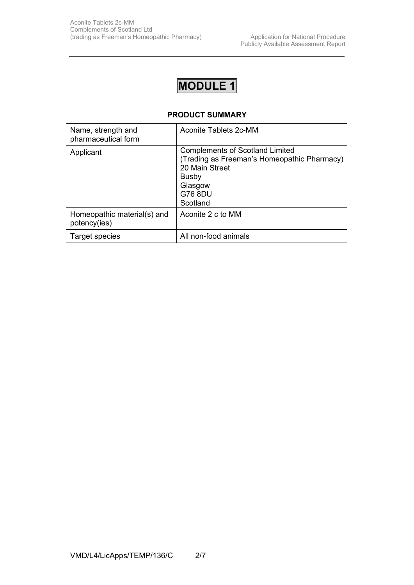# **MODULE 1**

### **PRODUCT SUMMARY**

| Name, strength and<br>pharmaceutical form   | Aconite Tablets 2c-MM                                                                                                                                     |
|---------------------------------------------|-----------------------------------------------------------------------------------------------------------------------------------------------------------|
| Applicant                                   | <b>Complements of Scotland Limited</b><br>(Trading as Freeman's Homeopathic Pharmacy)<br>20 Main Street<br><b>Busby</b><br>Glasgow<br>G76 8DU<br>Scotland |
| Homeopathic material(s) and<br>potency(ies) | Aconite 2 c to MM                                                                                                                                         |
| Target species                              | All non-food animals                                                                                                                                      |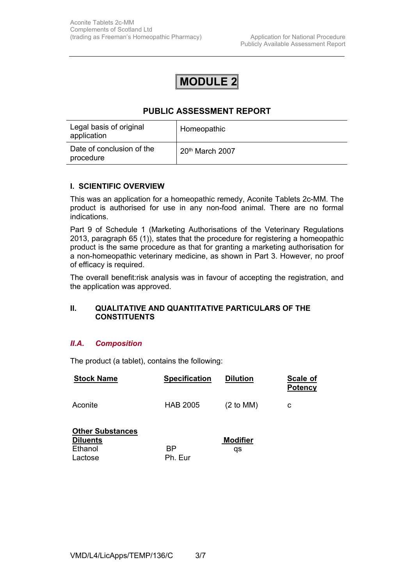## **MODULE 2**

## **PUBLIC ASSESSMENT REPORT**

| Legal basis of original<br>application | Homeopathic       |
|----------------------------------------|-------------------|
| Date of conclusion of the<br>procedure | $20th$ March 2007 |

#### **I. SCIENTIFIC OVERVIEW**

This was an application for a homeopathic remedy, Aconite Tablets 2c-MM. The product is authorised for use in any non-food animal. There are no formal indications.

Part 9 of Schedule 1 (Marketing Authorisations of the Veterinary Regulations 2013, paragraph 65 (1)), states that the procedure for registering a homeopathic product is the same procedure as that for granting a marketing authorisation for a non-homeopathic veterinary medicine, as shown in Part 3. However, no proof of efficacy is required.

The overall benefit:risk analysis was in favour of accepting the registration, and the application was approved.

#### **II. QUALITATIVE AND QUANTITATIVE PARTICULARS OF THE CONSTITUENTS**

#### *II.A. Composition*

The product (a tablet), contains the following:

| <b>Stock Name</b>                                                | <b>Specification</b> | <b>Dilution</b>       | Scale of<br><b>Potency</b> |
|------------------------------------------------------------------|----------------------|-----------------------|----------------------------|
| Aconite                                                          | <b>HAB 2005</b>      | $(2 \text{ to MM})$   | с                          |
| <b>Other Substances</b><br><b>Diluents</b><br>Ethanol<br>Lactose | ВP<br>Ph. Eur        | <b>Modifier</b><br>qs |                            |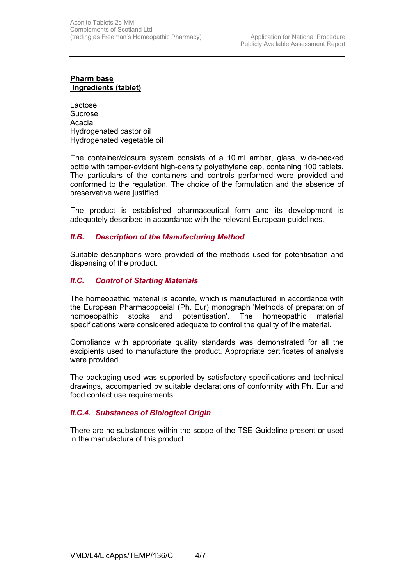#### **Pharm base Ingredients (tablet)**

Lactose Sucrose Acacia Hydrogenated castor oil Hydrogenated vegetable oil

 The container/closure system consists of a 10 ml amber, glass, wide-necked bottle with tamper-evident high-density polyethylene cap, containing 100 tablets. The particulars of the containers and controls performed were provided and conformed to the regulation. The choice of the formulation and the absence of preservative were justified.

 The product is established pharmaceutical form and its development is adequately described in accordance with the relevant European guidelines.

#### *II.B. Description of the Manufacturing Method*

Suitable descriptions were provided of the methods used for potentisation and dispensing of the product.

#### *II.C. Control of Starting Materials*

The homeopathic material is aconite, which is manufactured in accordance with the European Pharmacopoeial (Ph. Eur) monograph 'Methods of preparation of homoeopathic stocks and potentisation'. The homeopathic material specifications were considered adequate to control the quality of the material.

Compliance with appropriate quality standards was demonstrated for all the excipients used to manufacture the product. Appropriate certificates of analysis were provided.

The packaging used was supported by satisfactory specifications and technical drawings, accompanied by suitable declarations of conformity with Ph. Eur and food contact use requirements.

#### *II.C.4. Substances of Biological Origin*

There are no substances within the scope of the TSE Guideline present or used in the manufacture of this product*.*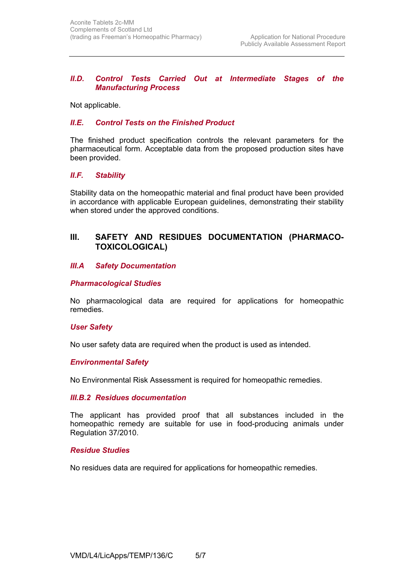#### *II.D. Control Tests Carried Out at Intermediate Stages of the Manufacturing Process*

Not applicable.

#### *II.E. Control Tests on the Finished Product*

The finished product specification controls the relevant parameters for the pharmaceutical form. Acceptable data from the proposed production sites have been provided.

#### *II.F. Stability*

Stability data on the homeopathic material and final product have been provided in accordance with applicable European guidelines, demonstrating their stability when stored under the approved conditions.

## **III. SAFETY AND RESIDUES DOCUMENTATION (PHARMACO-TOXICOLOGICAL)**

#### *III.A Safety Documentation*

#### *Pharmacological Studies*

No pharmacological data are required for applications for homeopathic remedies.

#### *User Safety*

No user safety data are required when the product is used as intended.

#### *Environmental Safety*

No Environmental Risk Assessment is required for homeopathic remedies.

#### *III.B.2 Residues documentation*

The applicant has provided proof that all substances included in the homeopathic remedy are suitable for use in food-producing animals under Regulation 37/2010.

#### *Residue Studies*

No residues data are required for applications for homeopathic remedies.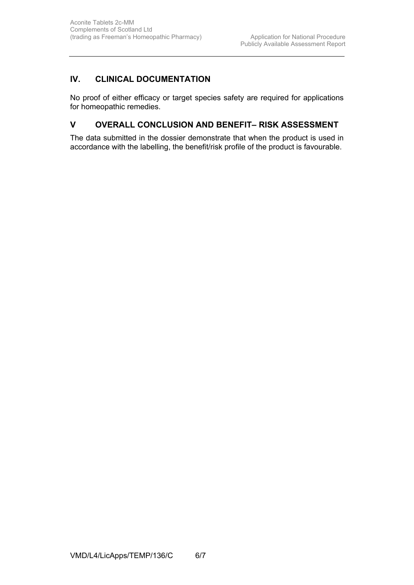## **IV. CLINICAL DOCUMENTATION**

No proof of either efficacy or target species safety are required for applications for homeopathic remedies.

## **V OVERALL CONCLUSION AND BENEFIT– RISK ASSESSMENT**

The data submitted in the dossier demonstrate that when the product is used in accordance with the labelling, the benefit/risk profile of the product is favourable.